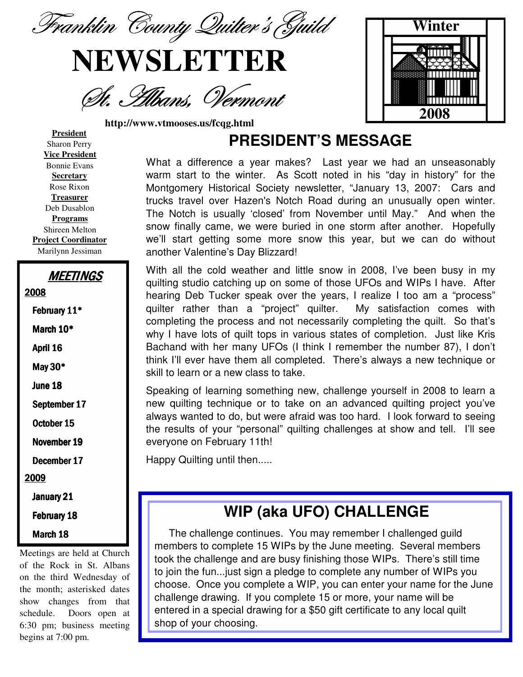Franklin County Quilter's Guild

# **NEWSLETTER**

St. Albans, Vermont

**http://www.vtmooses.us/fcqg.html**



**President** Sharon Perry **Vice President** Bonnie Evans **Secretary** Rose Rixon **Treasurer** Deb Dusablon **Programs** Shireen Melton **Project Coordinator** Marilynn Jessiman

| <b>MEETINGS</b> |
|-----------------|
| 2008            |
| February 11*    |
| March 10*       |
| April 16        |
| May 30*         |
| June 18         |
| September 17    |
| October 15      |
| November 19     |
| December 17     |
| 2009            |
| January 21      |
|                 |

#### February 18

March 18

Meetings are held at Church of the Rock in St. Albans on the third Wednesday of the month; asterisked dates show changes from that schedule. Doors open at 6:30 pm; business meeting begins at 7:00 pm.

### **PRESIDENT'S MESSAGE**

What a difference a year makes? Last year we had an unseasonably warm start to the winter. As Scott noted in his "day in history" for the Montgomery Historical Society newsletter, "January 13, 2007: Cars and trucks travel over Hazen's Notch Road during an unusually open winter. The Notch is usually 'closed' from November until May." And when the snow finally came, we were buried in one storm after another. Hopefully we'll start getting some more snow this year, but we can do without another Valentine's Day Blizzard!

With all the cold weather and little snow in 2008, I've been busy in my quilting studio catching up on some of those UFOs and WIPs I have. After hearing Deb Tucker speak over the years, I realize I too am a "process" quilter rather than a "project" quilter. My satisfaction comes with completing the process and not necessarily completing the quilt. So that's why I have lots of quilt tops in various states of completion. Just like Kris Bachand with her many UFOs (I think I remember the number 87), I don't think I'll ever have them all completed. There's always a new technique or skill to learn or a new class to take.

Speaking of learning something new, challenge yourself in 2008 to learn a new quilting technique or to take on an advanced quilting project you've always wanted to do, but were afraid was too hard. I look forward to seeing the results of your "personal" quilting challenges at show and tell. I'll see everyone on February 11th!

Happy Quilting until then.....

# **WIP (aka UFO) CHALLENGE**

The challenge continues. You may remember I challenged guild members to complete 15 WIPs by the June meeting. Several members took the challenge and are busy finishing those WIPs. There's still time to join the fun...just sign a pledge to complete any number of WIPs you choose. Once you complete a WIP, you can enter your name for the June challenge drawing. If you complete 15 or more, your name will be entered in a special drawing for a \$50 gift certificate to any local quilt shop of your choosing.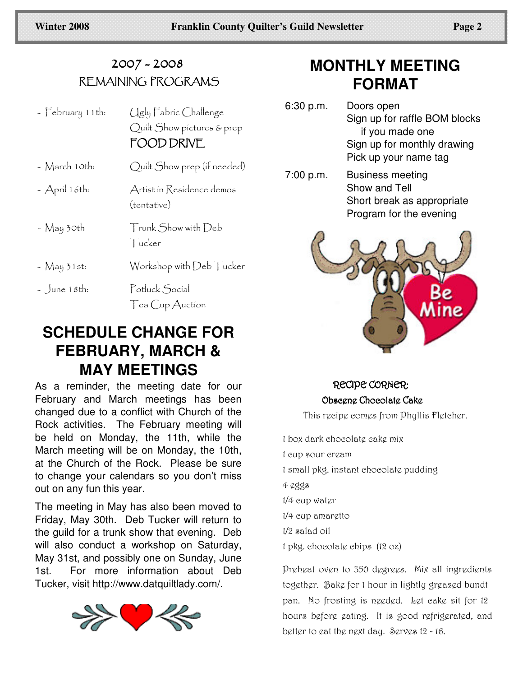#### 2007 - 2008 KEMAINING PROGRAMS

| $-$ February 11th: | Ugly Fabric Challenge<br>Quilt Show pictures & prep<br>FOOD DRIVE |
|--------------------|-------------------------------------------------------------------|
| - March 10th:      | Quilt Show prep (if needed)                                       |
| $-$ April 16th:    | Artist in Residence demos<br>(tentative)                          |
| - May 30th         | Trunk Show with Deb<br>Tucker                                     |
| $-$ May 31st:      | Workshop with Deb Tucker                                          |
| $\sim$ June 18th:  | Potluck Social<br>Tea Cup Auction                                 |

### **SCHEDULE CHANGE FOR FEBRUARY, MARCH & MAY MEETINGS**

As a reminder, the meeting date for our February and March meetings has been changed due to a conflict with Church of the Rock activities. The February meeting will be held on Monday, the 11th, while the March meeting will be on Monday, the 10th, at the Church of the Rock. Please be sure to change your calendars so you don't miss out on any fun this year.

The meeting in May has also been moved to Friday, May 30th. Deb Tucker will return to the guild for a trunk show that evening. Deb will also conduct a workshop on Saturday, May 31st, and possibly one on Sunday, June 1st. For more information about Deb Tucker, visit http://www.datquiltlady.com/.



# **MONTHLY MEETING FORMAT**

- 6:30 p.m. Doors open Sign up for raffle BOM blocks if you made one Sign up for monthly drawing Pick up your name tag
- 7:00 p.m. Business meeting Show and Tell Short break as appropriate Program for the evening



### RECIPE CORNER: Obsegng Choeolatg Cakg

This recipe comes from Phyllis Fletcher.

1 box dark chocolatę cakę mix 1 cup sour cream 1 small pkg. instant chocolate pudding  $4$   $0$  $9$  $8$  $1/4$  cup water  $1/4$  cup amargito  $1/2$  salad oil  $1$  pkg. chocolate chips  $(12$  oz)

Preheat oven to 350 degrees. Mix all ingredients together. Bake for 1 hour in lightly greased bundt pan. No frosting is needed. Let cake sit for 12 hours before eating. It is good refrigerated, and better to eat the next day. Serves 12 - 16.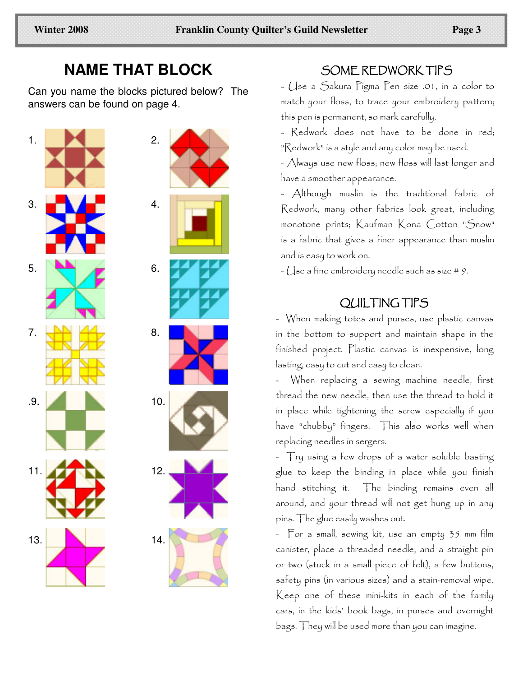### **NAME THAT BLOCK**

Can you name the blocks pictured below? The answers can be found on page 4.





#### SOME REDWORK TIPS

- (Jse a Sakura Figma Fen size .01, in a color to match your floss, to trace your embroidery pattern; this pen is permanent, so mark carefully.

- Redwork does not have to be done in red; "Redwork" is a style and any color may be used.

- Always use new Hoss; new Hoss will last longer and have a smoother appearance.

-  $\bigwedge$ Ithough muslin is the traditional fabric of Redwork, many other fabrics look great, including monotone prints; Kaufman Kona Cotton "Snow" is a fabric that gives a finer appearance than muslin and is easy to work on.

 $\sim$  (Jse a fine embroidery needle such as size # 9.

#### OUL TING TIPS

- When making totes and purses, use plastic canvas in the bottom to support and maintain shape in the finished project. Plastic canvas is inexpensive, long lasting, easy to cut and easy to clean.

- When replacing a sewing machine needle, first thread the new needle, then use the thread to hold it in place while tightening the screw especially if you have "chubby" fingers. This also works well when replacing needles in sergers.

- Try using a few drops of a water soluble basting glue to keep the binding in place while you finish hand stitching it. The binding remains even all around, and your thread will not get hung up in any pins. The glue easily washes out.

- For a small, sewing kit, use an empty 35 mm film canister, place a threaded needle, and a straight pin or two (stuck in a small piece of felt), a few buttons, safety pins (in various sizes) and a stain-removal wipe. Keep one of these mini-kits in each of the family cars, in the kids' book bags, in purses and overnight bags. They will be used more than you can imagine.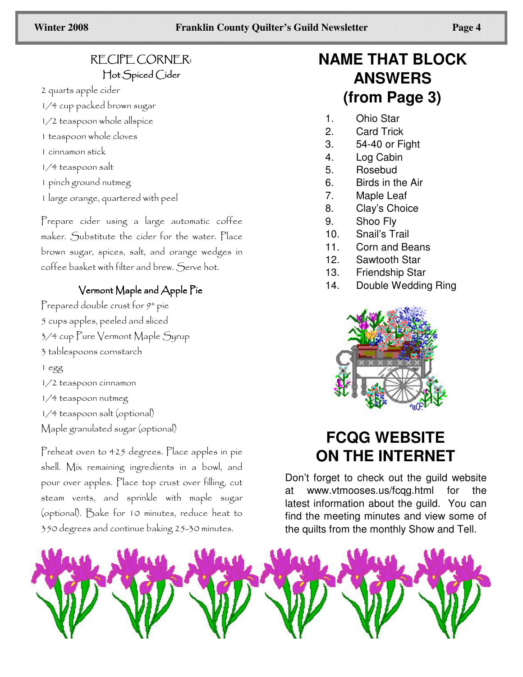#### RECIPE CORNER: Hot Spiced Cider

2 quarts apple cider

- 1/4 cup packed brown sugar
- 1/2 teaspoon whole allspice
- 1 teaspoon whole cloves
- 1 cinnamon stick
- 1/4 teaspoon salt
- 1 pinch ground nutmeg
- 1 large orange, quartered with peel

Prepare cider using a large automatic coffee maker. Substitute the cider for the water. Place brown sugar, spices, salt, and orange wedges in coffee basket with filter and brew. Serve hot.

#### Vermont Maple and Apple Pie

Prepared double crust for 9" pie 5 cups apples, peeled and sliced 3/4 cup Pure Vermont Maple Syrup 3 tablespoons cornstarch 1 egg 1/2 teaspoon cinnamon 1/4 teaspoon nutmeg 1/4 teaspoon salt (optional) Maple granulated sugar (optional)

Preheat oven to 425 degrees. Place apples in pie shell. Mix remaining ingredients in a bowl, and pour over apples. Place top crust over filling, cut steam vents, and sprinkle with maple sugar (optional). Bake for 10 minutes, reduce heat to 350 degrees and continue baking 25-30 minutes.

# **NAME THAT BLOCK ANSWERS** (from Page 3)

- $1.$ Ohio Star
- $2.$ **Card Trick**
- 3. 54-40 or Fight
- $4.$ Log Cabin
- 5. Rosebud
- $6.$ Birds in the Air
- 7. Maple Leaf
- 8. Clay's Choice
- 9. Shoo Fly
- $10.$ Snail's Trail
- $11.$ Corn and Beans
- $12.$ Sawtooth Star
- $13.$ **Friendship Star**
- 14. Double Wedding Ring



# **FCQG WEBSITE ON THE INTERNET**

Don't forget to check out the guild website www.vtmooses.us/fcqg.html at for the latest information about the guild. You can find the meeting minutes and view some of the quilts from the monthly Show and Tell.

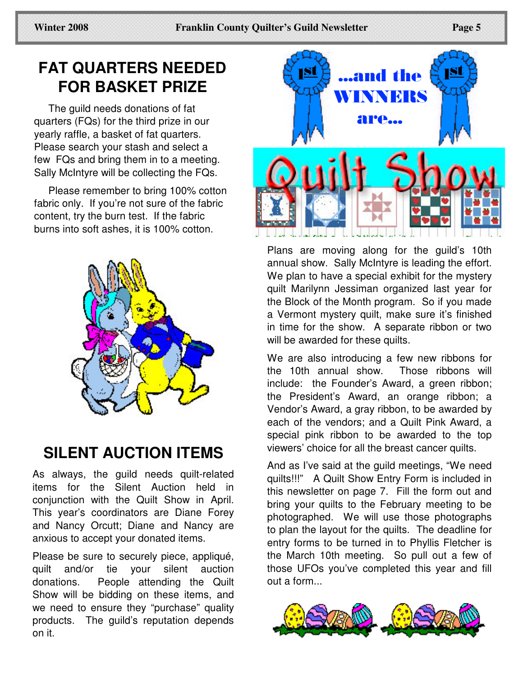# **FAT QUARTERS NEEDED FOR BASKET PRIZE**

The guild needs donations of fat quarters (FQs) for the third prize in our yearly raffle, a basket of fat quarters. Please search your stash and select a few FQs and bring them in to a meeting. Sally McIntyre will be collecting the FQs.

Please remember to bring 100% cotton fabric only. If you're not sure of the fabric content, try the burn test. If the fabric burns into soft ashes, it is 100% cotton.



# **SILENT AUCTION ITEMS**

As always, the guild needs quilt-related items for the Silent Auction held in conjunction with the Quilt Show in April. This year's coordinators are Diane Forey and Nancy Orcutt; Diane and Nancy are anxious to accept your donated items.

Please be sure to securely piece, appliqué, quilt and/or tie your silent auction donations. People attending the Quilt Show will be bidding on these items, and we need to ensure they "purchase" quality products. The guild's reputation depends on it.



Plans are moving along for the guild's 10th annual show. Sally McIntyre is leading the effort. We plan to have a special exhibit for the mystery quilt Marilynn Jessiman organized last year for the Block of the Month program. So if you made a Vermont mystery quilt, make sure it's finished in time for the show. A separate ribbon or two will be awarded for these quilts.

We are also introducing a few new ribbons for the 10th annual show. Those ribbons will include: the Founder's Award, a green ribbon; the President's Award, an orange ribbon; a Vendor's Award, a gray ribbon, to be awarded by each of the vendors; and a Quilt Pink Award, a special pink ribbon to be awarded to the top viewers' choice for all the breast cancer quilts.

And as I've said at the guild meetings, "We need quilts!!!" A Quilt Show Entry Form is included in this newsletter on page 7. Fill the form out and bring your quilts to the February meeting to be photographed. We will use those photographs to plan the layout for the quilts. The deadline for entry forms to be turned in to Phyllis Fletcher is the March 10th meeting. So pull out a few of those UFOs you've completed this year and fill out a form...

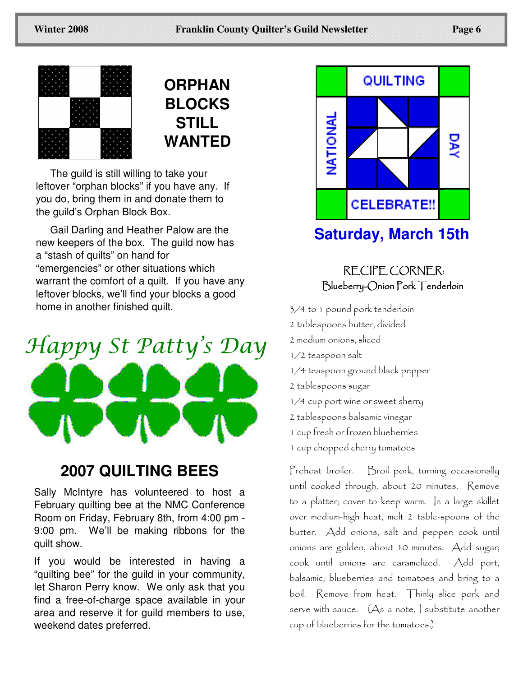

# **ORPHAN BLOCKS STILL WANTED**

The guild is still willing to take your leftover "orphan blocks" if you have any. If you do, bring them in and donate them to the guild's Orphan Block Box.

Gail Darling and Heather Palow are the new keepers of the box. The guild now has a "stash of quilts" on hand for "emergencies" or other situations which warrant the comfort of a quilt. If you have any leftover blocks, we'll find your blocks a good home in another finished quilt.



# **2007 QUILTING BEES**

Sally McIntyre has volunteered to host a February quilting bee at the NMC Conference Room on Friday, February 8th, from 4:00 pm - 9:00 pm. We'll be making ribbons for the quilt show.

If you would be interested in having a "quilting bee" for the guild in your community, let Sharon Perry know. We only ask that you find a free-of-charge space available in your area and reserve it for guild members to use, weekend dates preferred.



# **Saturday, March 15th**

RECIPE CORNER: Blueberry-Onion Pork Tenderloin

3/4 to 1 pound pork tenderloin 2 tablespoons butter, divided 2 medium onions, sliced  $1/2$  teaspoon salt 1/4 teaspoon ground black pepper 2 tablespoons sugar 1/4 cup port wine or sweet sherry 2 tablespoons balsamic vinegar 1 cup fresh or frozen blueberries 1 cup chopped cherry tomatoes

Preheat broiler. Broil pork, turning occasionally until cooked through, about 20 minutes. Kemove to a platter; cover to keep warm. In a large skillet over medium-high heat, melt 2 table-spoons of the butter. Add onions, salt and pepper; cook until onions are golden, about 10 minutes. Add sugar; cook until onions are caramelized. Add port, balsamic, blueberries and tomatoes and bring to a boil. Remove from heat. Thinly slice pork and  $s$ erve with sauce.  $\left(\bigtriangleup s$  a note,  $\right|$  substitute another cup of blueberries for the tomatoes.)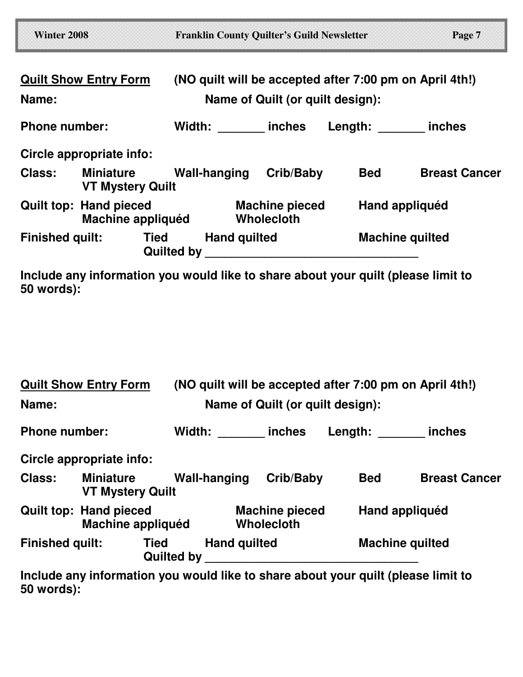| <b>Winter 2008</b>     |                                                    | <b>Franklin County Quilter's Guild Newsletter</b>       |                                            |                | Page 7                 |
|------------------------|----------------------------------------------------|---------------------------------------------------------|--------------------------------------------|----------------|------------------------|
|                        | <b>Quilt Show Entry Form</b>                       | (NO quilt will be accepted after 7:00 pm on April 4th!) |                                            |                |                        |
| Name:                  |                                                    |                                                         | Name of Quilt (or quilt design):           |                |                        |
| <b>Phone number:</b>   |                                                    | Width: inches                                           |                                            | Length: inches |                        |
|                        | Circle appropriate info:                           |                                                         |                                            |                |                        |
| <b>Class:</b>          | Miniature<br><b>VT Mystery Quilt</b>               | Wall-hanging                                            | Crib/Baby                                  | Bed            | <b>Breast Cancer</b>   |
|                        | <b>Quilt top: Hand pieced</b><br>Machine appliquéd |                                                         | <b>Machine pieced</b><br><b>Wholecloth</b> |                | Hand appliquéd         |
| <b>Finished quilt:</b> | <b>Tied</b>                                        | <b>Hand quilted</b><br><b>Quilted by</b>                |                                            |                | <b>Machine quilted</b> |

**Include any information you would like to share about your quilt (please limit to 50 words):**

| <b>Quilt Show Entry Form</b>          |                                                    |                   | (NO quilt will be accepted after 7:00 pm on April 4th!) |           |                        |                                                                                   |  |  |
|---------------------------------------|----------------------------------------------------|-------------------|---------------------------------------------------------|-----------|------------------------|-----------------------------------------------------------------------------------|--|--|
| Name:                                 |                                                    |                   | Name of Quilt (or quilt design):                        |           |                        |                                                                                   |  |  |
| <b>Phone number:</b>                  |                                                    |                   | Width: inches                                           |           |                        | Length: inches                                                                    |  |  |
|                                       | Circle appropriate info:                           |                   |                                                         |           |                        |                                                                                   |  |  |
| <b>Class:</b>                         | <b>Miniature</b><br><b>VT Mystery Quilt</b>        |                   | Wall-hanging                                            | Crib/Baby | <b>Bed</b>             | <b>Breast Cancer</b>                                                              |  |  |
|                                       | <b>Quilt top: Hand pieced</b><br>Machine appliquéd |                   | <b>Machine pieced</b><br><b>Wholecloth</b>              |           |                        | Hand appliquéd                                                                    |  |  |
| <b>Finished quilt:</b><br><b>Tied</b> |                                                    | <b>Quilted by</b> | <b>Hand quilted</b>                                     |           | <b>Machine quilted</b> |                                                                                   |  |  |
|                                       |                                                    |                   |                                                         |           |                        | Include any information you would like to share about your quilt (please limit to |  |  |

**Include any information you would like to share about your quilt (please limit to 50 words):**